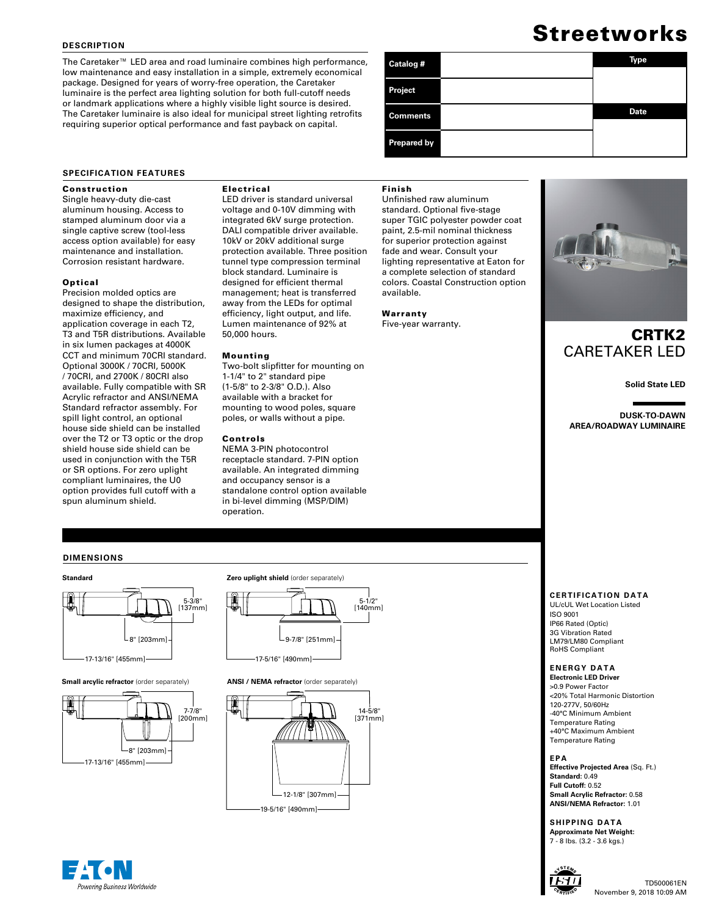### **DESCRIPTION**

The Caretaker™ LED area and road luminaire combines high performance, low maintenance and easy installation in a simple, extremely economical package. Designed for years of worry-free operation, the Caretaker luminaire is the perfect area lighting solution for both full-cutoff needs or landmark applications where a highly visible light source is desired. The Caretaker luminaire is also ideal for municipal street lighting retrofits requiring superior optical performance and fast payback on capital.

# Streetworks

| Catalog #          | <b>Type</b> |
|--------------------|-------------|
|                    |             |
| <b>Project</b>     |             |
| <b>Comments</b>    | <b>Date</b> |
|                    |             |
| <b>Prepared by</b> |             |

### **SPECIFICATION FEATURES**

### Construction

Single heavy-duty die-cast aluminum housing. Access to stamped aluminum door via a single captive screw (tool-less access option available) for easy maintenance and installation. Corrosion resistant hardware.

### Optical

Precision molded optics are designed to shape the distribution, maximize efficiency, and application coverage in each T2, T3 and T5R distributions. Available in six lumen packages at 4000K CCT and minimum 70CRI standard. Optional 3000K / 70CRI, 5000K / 70CRI, and 2700K / 80CRI also available. Fully compatible with SR Acrylic refractor and ANSI/NEMA Standard refractor assembly. For spill light control, an optional house side shield can be installed over the T2 or T3 optic or the drop shield house side shield can be used in conjunction with the T5R or SR options. For zero uplight compliant luminaires, the U0 option provides full cutoff with a spun aluminum shield.

### Electrical

LED driver is standard universal voltage and 0-10V dimming with integrated 6kV surge protection. DALI compatible driver available. 10kV or 20kV additional surge protection available. Three position tunnel type compression terminal block standard. Luminaire is designed for efficient thermal management; heat is transferred away from the LEDs for optimal efficiency, light output, and life. Lumen maintenance of 92% at 50,000 hours.

### Mounting

Two-bolt slipfitter for mounting on 1-1/4" to 2" standard pipe (1-5/8" to 2-3/8" O.D.). Also available with a bracket for mounting to wood poles, square poles, or walls without a pipe.

### Controls

NEMA 3-PIN photocontrol receptacle standard. 7-PIN option available. An integrated dimming and occupancy sensor is a standalone control option available in bi-level dimming (MSP/DIM) operation.

### Finish

Unfinished raw aluminum standard. Optional five-stage super TGIC polyester powder coat paint, 2.5-mil nominal thickness for superior protection against fade and wear. Consult your lighting representative at Eaton for a complete selection of standard colors. Coastal Construction option available.

Warranty Five-year warranty.



# CRTK2 CARETAKER LED

**Solid State LED**

**DUSK-TO-DAWN AREA/ROADWAY LUMINAIRE**

### **DIMENSIONS**







**Small arcylic refractor** (order separately) **ANSI / NEMA refractor** (order separately)



### **CERTIFICATION DATA**

UL/cUL Wet Location Listed ISO 9001 IP66 Rated (Optic) 3G Vibration Rated LM79/LM80 Compliant RoHS Compliant

### **ENERGY DATA**

**Electronic LED Driver** >0.9 Power Factor <20% Total Harmonic Distortion 120-277V, 50/60Hz -40°C Minimum Ambient Temperature Rating +40°C Maximum Ambient Temperature Rating

**EPA Effective Projected Area** (Sq. Ft.) **Standard:** 0.49 **Full Cutoff:** 0.52 **Small Acrylic Refractor:** 0.58 **ANSI/NEMA Refractor:** 1.01

**SHIPPING DATA Approximate Net Weight:** 7 - 8 lbs. (3.2 - 3.6 kgs.)



### TD500061EN November 9, 2018 10:09 AM

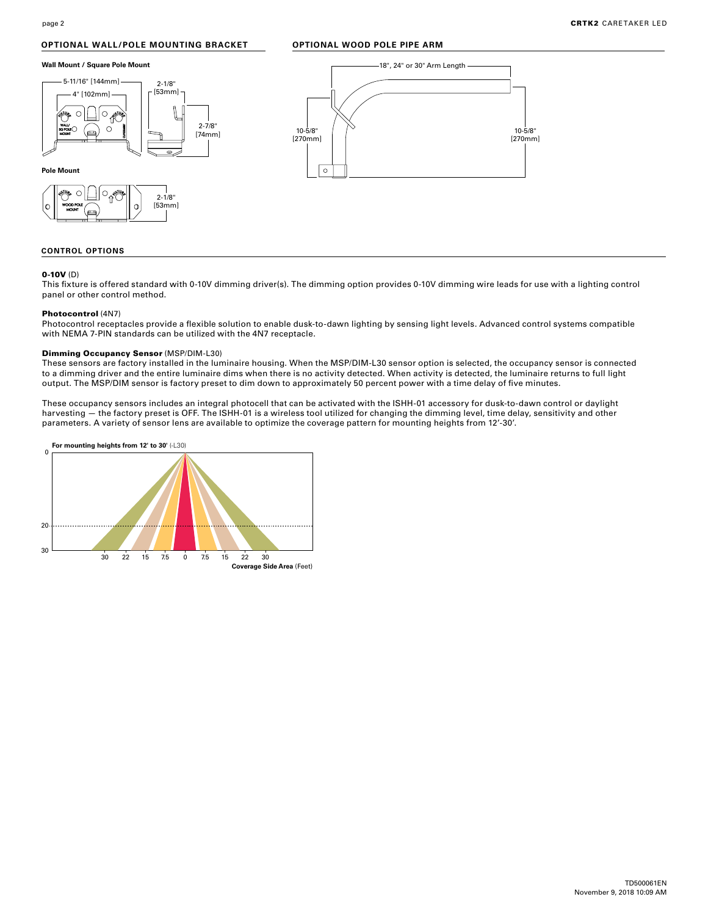### **OPTIONAL WALL/POLE MOUNTING BRACKET**

### **OPTIONAL WOOD POLE PIPE ARM**







### **CONTROL OPTIONS**

### 0-10V (D)

This fixture is offered standard with 0-10V dimming driver(s). The dimming option provides 0-10V dimming wire leads for use with a lighting control panel or other control method.

### Photocontrol (4N7)

Photocontrol receptacles provide a flexible solution to enable dusk-to-dawn lighting by sensing light levels. Advanced control systems compatible with NEMA 7-PIN standards can be utilized with the 4N7 receptacle.

### Dimming Occupancy Sensor (MSP/DIM-L30)

These sensors are factory installed in the luminaire housing. When the MSP/DIM-L30 sensor option is selected, the occupancy sensor is connected to a dimming driver and the entire luminaire dims when there is no activity detected. When activity is detected, the luminaire returns to full light output. The MSP/DIM sensor is factory preset to dim down to approximately 50 percent power with a time delay of five minutes.

These occupancy sensors includes an integral photocell that can be activated with the ISHH-01 accessory for dusk-to-dawn control or daylight harvesting — the factory preset is OFF. The ISHH-01 is a wireless tool utilized for changing the dimming level, time delay, sensitivity and other parameters. A variety of sensor lens are available to optimize the coverage pattern for mounting heights from 12'-30'.

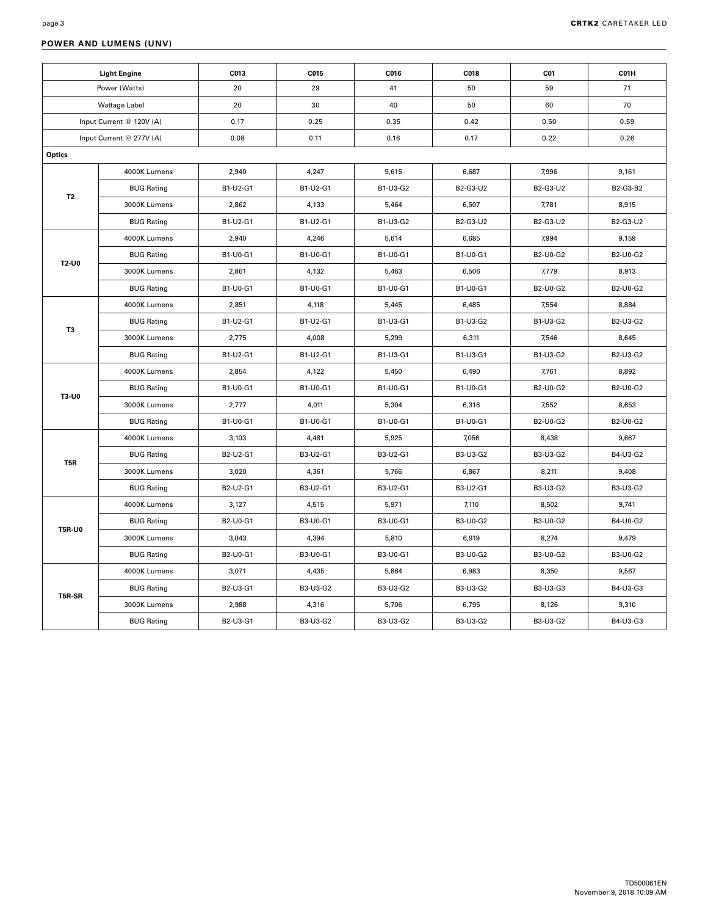### **POWER AND LUMENS (UNV)**

|                      | <b>Light Engine</b>      | C013     | C015     | C016     | C018            | C01             | C01H            |
|----------------------|--------------------------|----------|----------|----------|-----------------|-----------------|-----------------|
| Power (Watts)        |                          | 20       | 29       | 41       | 50              | 59              | 71              |
| <b>Wattage Label</b> |                          | 20       | 30       | 40       | 50              | 60              | 70              |
|                      | Input Current @ 120V (A) | 0.17     | 0.25     | 0.35     | 0.42            | 0.50            | 0.59            |
|                      | Input Current @ 277V (A) | 0.08     | 0.11     | 0.16     | 0.17            | 0.22            | 0.26            |
| Optics               |                          |          |          |          |                 |                 |                 |
|                      | 4000K Lumens             | 2,940    | 4,247    | 5,615    | 6,687           | 7,996           | 9,161           |
|                      | <b>BUG Rating</b>        | B1-U2-G1 | B1-U2-G1 | B1-U3-G2 | B2-G3-U2        | B2-G3-U2        | B2-G3-B2        |
| T <sub>2</sub>       | 3000K Lumens             | 2,862    | 4,133    | 5,464    | 6,507           | 7,781           | 8,915           |
|                      | <b>BUG Rating</b>        | B1-U2-G1 | B1-U2-G1 | B1-U3-G2 | B2-G3-U2        | B2-G3-U2        | B2-G3-U2        |
|                      | 4000K Lumens             | 2,940    | 4,246    | 5,614    | 6,685           | 7,994           | 9,159           |
| T2-U0                | <b>BUG Rating</b>        | B1-U0-G1 | B1-U0-G1 | B1-U0-G1 | B1-U0-G1        | B2-U0-G2        | B2-U0-G2        |
|                      | 3000K Lumens             | 2,861    | 4,132    | 5,463    | 6,506           | 7,779           | 8,913           |
|                      | <b>BUG Rating</b>        | B1-U0-G1 | B1-U0-G1 | B1-U0-G1 | B1-U0-G1        | B2-U0-G2        | B2-U0-G2        |
| T3                   | 4000K Lumens             | 2,851    | 4,118    | 5,445    | 6,485           | 7,554           | 8,884           |
|                      | <b>BUG Rating</b>        | B1-U2-G1 | B1-U2-G1 | B1-U3-G1 | B1-U3-G2        | B1-U3-G2        | B2-U3-G2        |
|                      | 3000K Lumens             | 2,775    | 4,008    | 5,299    | 6,311           | 7,546           | 8,645           |
|                      | <b>BUG Rating</b>        | B1-U2-G1 | B1-U2-G1 | B1-U3-G1 | B1-U3-G1        | B1-U3-G2        | B2-U3-G2        |
|                      | 4000K Lumens             | 2,854    | 4,122    | 5,450    | 6,490           | 7,761           | 8,892           |
| T3-U0                | <b>BUG Rating</b>        | B1-U0-G1 | B1-U0-G1 | B1-U0-G1 | B1-U0-G1        | B2-U0-G2        | B2-U0-G2        |
|                      | 3000K Lumens             | 2,777    | 4,011    | 5,304    | 6,316           | 7,552           | 8,653           |
|                      | <b>BUG Rating</b>        | B1-U0-G1 | B1-U0-G1 | B1-U0-G1 | B1-U0-G1        | B2-U0-G2        | B2-U0-G2        |
|                      | 4000K Lumens             | 3,103    | 4,481    | 5,925    | 7,056           | 8,438           | 9,667           |
| T <sub>5</sub> R     | <b>BUG Rating</b>        | B2-U2-G1 | B3-U2-G1 | B3-U2-G1 | B3-U3-G2        | B3-U3-G2        | B4-U3-G2        |
|                      | 3000K Lumens             | 3,020    | 4,361    | 5,766    | 6,867           | 8,211           | 9,408           |
|                      | <b>BUG Rating</b>        | B2-U2-G1 | B3-U2-G1 | B3-U2-G1 | B3-U2-G1        | B3-U3-G2        | B3-U3-G2        |
|                      | 4000K Lumens             | 3,127    | 4,515    | 5,971    | 7,110           | 8,502           | 9,741           |
| <b>T5R-U0</b>        | <b>BUG Rating</b>        | B2-U0-G1 | B3-U0-G1 | B3-U0-G1 | <b>B3-U0-G2</b> | B3-U0-G2        | B4-U0-G2        |
|                      | 3000K Lumens             | 3,043    | 4,394    | 5,810    | 6,919           | 8,274           | 9,479           |
|                      | <b>BUG Rating</b>        | B2-U0-G1 | B3-U0-G1 | B3-U0-G1 | <b>B3-U0-G2</b> | <b>B3-U0-G2</b> | <b>B3-U0-G2</b> |
|                      | 4000K Lumens             | 3,071    | 4,435    | 5,864    | 6,983           | 8,350           | 9,567           |
| T5R-SR               | <b>BUG Rating</b>        | B2-U3-G1 | B3-U3-G2 | B3-U3-G2 | B3-U3-G2        | B3-U3-G3        | B4-U3-G3        |
|                      | 3000K Lumens             | 2,988    | 4,316    | 5,706    | 6,795           | 8,126           | 9,310           |
|                      | <b>BUG Rating</b>        | B2-U3-G1 | B3-U3-G2 | B3-U3-G2 | B3-U3-G2        | B3-U3-G2        | B4-U3-G3        |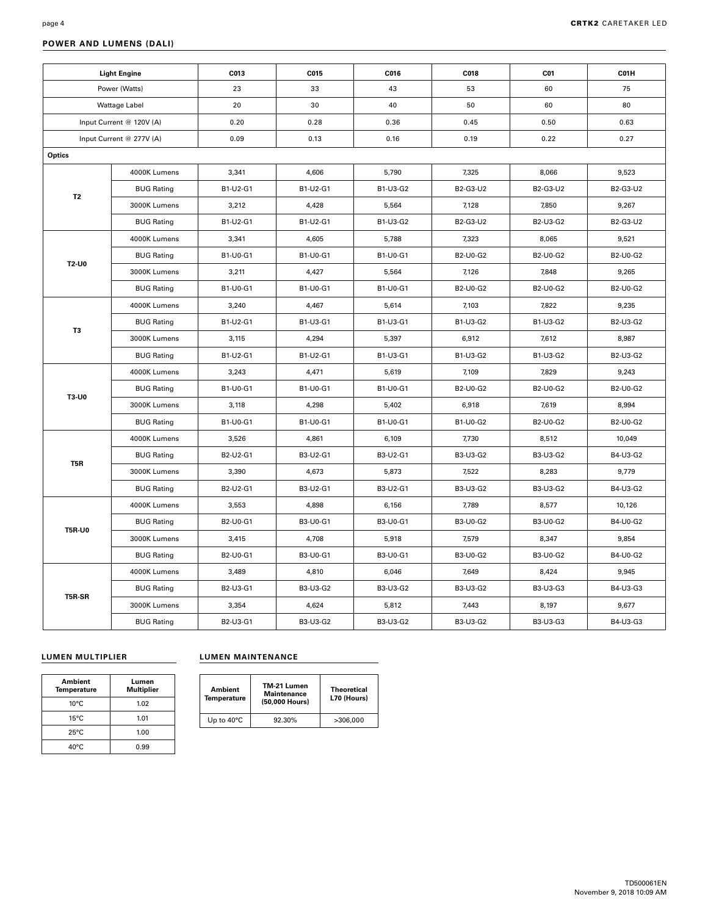| ÷ |  |
|---|--|
|   |  |

### **POWER AND LUMENS (DALI)**

|                          | <b>Light Engine</b>      | C013     | C015     | C016     | C018            | C01             | C01H     |
|--------------------------|--------------------------|----------|----------|----------|-----------------|-----------------|----------|
| Power (Watts)            |                          | 23       | 33       | 43       | 53              | 60              | 75       |
| <b>Wattage Label</b>     |                          | 20       | 30       | 40       | 50              | 60              | 80       |
| Input Current @ 120V (A) |                          | 0.20     | 0.28     | 0.36     | 0.45            | 0.50            | 0.63     |
|                          | Input Current @ 277V (A) | 0.09     | 0.13     | 0.16     | 0.19            | 0.22            | 0.27     |
| Optics                   |                          |          |          |          |                 |                 |          |
|                          | 4000K Lumens             | 3,341    | 4,606    | 5,790    | 7,325           | 8,066           | 9,523    |
|                          | <b>BUG Rating</b>        | B1-U2-G1 | B1-U2-G1 | B1-U3-G2 | B2-G3-U2        | B2-G3-U2        | B2-G3-U2 |
| <b>T2</b>                | 3000K Lumens             | 3,212    | 4,428    | 5,564    | 7,128           | 7,850           | 9,267    |
|                          | <b>BUG Rating</b>        | B1-U2-G1 | B1-U2-G1 | B1-U3-G2 | B2-G3-U2        | B2-U3-G2        | B2-G3-U2 |
|                          | 4000K Lumens             | 3,341    | 4,605    | 5,788    | 7,323           | 8,065           | 9,521    |
|                          | <b>BUG Rating</b>        | B1-U0-G1 | B1-U0-G1 | B1-U0-G1 | B2-U0-G2        | B2-U0-G2        | B2-U0-G2 |
| T2-U0                    | 3000K Lumens             | 3,211    | 4,427    | 5,564    | 7,126           | 7,848           | 9,265    |
|                          | <b>BUG Rating</b>        | B1-U0-G1 | B1-U0-G1 | B1-U0-G1 | B2-U0-G2        | B2-U0-G2        | B2-U0-G2 |
|                          | 4000K Lumens             | 3,240    | 4,467    | 5,614    | 7,103           | 7,822           | 9,235    |
| T3                       | <b>BUG Rating</b>        | B1-U2-G1 | B1-U3-G1 | B1-U3-G1 | B1-U3-G2        | B1-U3-G2        | B2-U3-G2 |
|                          | 3000K Lumens             | 3,115    | 4,294    | 5,397    | 6,912           | 7,612           | 8,987    |
|                          | <b>BUG Rating</b>        | B1-U2-G1 | B1-U2-G1 | B1-U3-G1 | B1-U3-G2        | B1-U3-G2        | B2-U3-G2 |
|                          | 4000K Lumens             | 3,243    | 4,471    | 5,619    | 7,109           | 7,829           | 9,243    |
| T3-U0                    | <b>BUG Rating</b>        | B1-U0-G1 | B1-U0-G1 | B1-U0-G1 | B2-U0-G2        | B2-U0-G2        | B2-U0-G2 |
|                          | 3000K Lumens             | 3,118    | 4,298    | 5,402    | 6,918           | 7,619           | 8,994    |
|                          | <b>BUG Rating</b>        | B1-U0-G1 | B1-U0-G1 | B1-U0-G1 | B1-U0-G2        | B2-U0-G2        | B2-U0-G2 |
|                          | 4000K Lumens             | 3,526    | 4,861    | 6,109    | 7,730           | 8,512           | 10,049   |
| T <sub>5</sub> R         | <b>BUG Rating</b>        | B2-U2-G1 | B3-U2-G1 | B3-U2-G1 | B3-U3-G2        | B3-U3-G2        | B4-U3-G2 |
|                          | 3000K Lumens             | 3,390    | 4,673    | 5,873    | 7,522           | 8,283           | 9,779    |
|                          | <b>BUG Rating</b>        | B2-U2-G1 | B3-U2-G1 | B3-U2-G1 | B3-U3-G2        | B3-U3-G2        | B4-U3-G2 |
|                          | 4000K Lumens             | 3,553    | 4,898    | 6,156    | 7,789           | 8,577           | 10,126   |
| <b>T5R-U0</b>            | <b>BUG Rating</b>        | B2-U0-G1 | B3-U0-G1 | B3-U0-G1 | <b>B3-U0-G2</b> | <b>B3-U0-G2</b> | B4-U0-G2 |
|                          | 3000K Lumens             | 3,415    | 4,708    | 5,918    | 7,579           | 8,347           | 9,854    |
|                          | <b>BUG Rating</b>        | B2-U0-G1 | B3-U0-G1 | B3-U0-G1 | B3-U0-G2        | B3-U0-G2        | B4-U0-G2 |
|                          | 4000K Lumens             | 3,489    | 4,810    | 6,046    | 7,649           | 8,424           | 9,945    |
| T5R-SR                   | <b>BUG Rating</b>        | B2-U3-G1 | B3-U3-G2 | B3-U3-G2 | B3-U3-G2        | B3-U3-G3        | B4-U3-G3 |
|                          | 3000K Lumens             | 3,354    | 4,624    | 5,812    | 7,443           | 8,197           | 9,677    |
|                          | <b>BUG Rating</b>        | B2-U3-G1 | B3-U3-G2 | B3-U3-G2 | B3-U3-G2        | B3-U3-G3        | B4-U3-G3 |

## **LUMEN MULTIPLIER LUMEN MAINTENANCE** Т

| Ambient<br><b>Temperature</b> | Lumen<br><b>Multiplier</b> |  |
|-------------------------------|----------------------------|--|
| $10^{\circ}$ C                | 1.02                       |  |
| $15^{\circ}$ C                | 1.01                       |  |
| $25^{\circ}$ C                | 1.00                       |  |
| $40^{\circ}$ C                | 0.99                       |  |

| Ambient<br><b>Temperature</b> | TM-21 Lumen<br><b>Maintenance</b><br>(50,000 Hours) | Theoretical<br>L70 (Hours) |
|-------------------------------|-----------------------------------------------------|----------------------------|
| Up to $40^{\circ}$ C          | 92.30%                                              | >306.000                   |